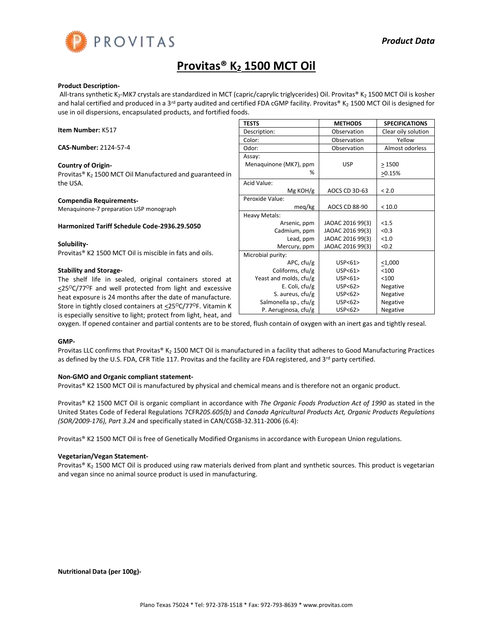

# **Provitas® K<sup>2</sup> 1500 MCT Oil**

### **Product Description-**

All-trans synthetic K<sub>2</sub>-MK7 crystals are standardized in MCT (capric/caprylic triglycerides) Oil. Provitas® K<sub>2</sub> 1500 MCT Oil is kosher and halal certified and produced in a 3<sup>rd</sup> party audited and certified FDA cGMP facility. Provitas® K<sub>2</sub> 1500 MCT Oil is designed for use in oil dispersions, encapsulated products, and fortified foods.

| <b>TESTS</b>           | <b>METHODS</b>                                                                                                                                                                                                           | <b>SPECIFICATIONS</b>                                                                                                                                           |
|------------------------|--------------------------------------------------------------------------------------------------------------------------------------------------------------------------------------------------------------------------|-----------------------------------------------------------------------------------------------------------------------------------------------------------------|
| Description:           | Observation                                                                                                                                                                                                              | Clear oily solution                                                                                                                                             |
| Color:                 | Observation                                                                                                                                                                                                              | Yellow                                                                                                                                                          |
| Odor:                  | Observation                                                                                                                                                                                                              | Almost odorless                                                                                                                                                 |
| Assay:                 |                                                                                                                                                                                                                          |                                                                                                                                                                 |
| Menaquinone (MK7), ppm | <b>USP</b>                                                                                                                                                                                                               | >1500                                                                                                                                                           |
| ℅                      |                                                                                                                                                                                                                          | >0.15%                                                                                                                                                          |
| Acid Value:            |                                                                                                                                                                                                                          |                                                                                                                                                                 |
| $Mg$ KOH/g             | AOCS CD 3D-63                                                                                                                                                                                                            | < 2.0                                                                                                                                                           |
| Peroxide Value:        |                                                                                                                                                                                                                          |                                                                                                                                                                 |
| meg/kg                 | <b>AOCS CD 88-90</b>                                                                                                                                                                                                     | < 10.0                                                                                                                                                          |
| Heavy Metals:          |                                                                                                                                                                                                                          |                                                                                                                                                                 |
| Arsenic, ppm           |                                                                                                                                                                                                                          | < 1.5                                                                                                                                                           |
|                        |                                                                                                                                                                                                                          | < 0.3                                                                                                                                                           |
|                        |                                                                                                                                                                                                                          | < 1.0                                                                                                                                                           |
|                        |                                                                                                                                                                                                                          | < 0.2                                                                                                                                                           |
|                        |                                                                                                                                                                                                                          |                                                                                                                                                                 |
|                        |                                                                                                                                                                                                                          | $<$ 1,000                                                                                                                                                       |
|                        |                                                                                                                                                                                                                          | < 100                                                                                                                                                           |
|                        |                                                                                                                                                                                                                          | < 100                                                                                                                                                           |
|                        |                                                                                                                                                                                                                          | Negative                                                                                                                                                        |
|                        |                                                                                                                                                                                                                          | Negative                                                                                                                                                        |
|                        |                                                                                                                                                                                                                          | Negative                                                                                                                                                        |
|                        |                                                                                                                                                                                                                          | Negative                                                                                                                                                        |
|                        | Cadmium, ppm<br>Lead, ppm<br>Mercury, ppm<br>Microbial purity:<br>$APC$ , cfu/g<br>Coliforms, cfu/g<br>Yeast and molds, cfu/g<br>E. Coli, $ctu/g$<br>S. aureus, $ctu/g$<br>Salmonella sp., cfu/g<br>P. Aeruginosa, cfu/g | JAOAC 2016 99(3)<br>JAOAC 2016 99(3)<br>JAOAC 2016 99(3)<br>JAOAC 2016 99(3)<br>USP < 61<br>USP < 61<br>USP < 61<br>USP < 62<br>USP<62><br>USP < 62<br>USP < 62 |

oxygen. If opened container and partial contents are to be stored, flush contain of oxygen with an inert gas and tightly reseal.

### **GMP-**

Provitas LLC confirms that Provitas® K<sub>2</sub> 1500 MCT Oil is manufactured in a facility that adheres to Good Manufacturing Practices as defined by the U.S. FDA, CFR Title 117. Provitas and the facility are FDA registered, and 3<sup>rd</sup> party certified.

# **Non-GMO and Organic compliant statement-**

Provitas® K2 1500 MCT Oil is manufactured by physical and chemical means and is therefore not an organic product.

Provitas® K2 1500 MCT Oil is organic compliant in accordance with *The Organic Foods Production Act of 1990* as stated in the United States Code of Federal Regulations 7CFR*205.605(b)* and *Canada Agricultural Products Act, Organic Products Regulations (SOR/2009-176), Part 3.24* and specifically stated in CAN/CGSB-32.311-2006 (6.4):

Provitas® K2 1500 MCT Oil is free of Genetically Modified Organisms in accordance with European Union regulations.

# **Vegetarian/Vegan Statement-**

Provitas® K<sub>2</sub> 1500 MCT Oil is produced using raw materials derived from plant and synthetic sources. This product is vegetarian and vegan since no animal source product is used in manufacturing.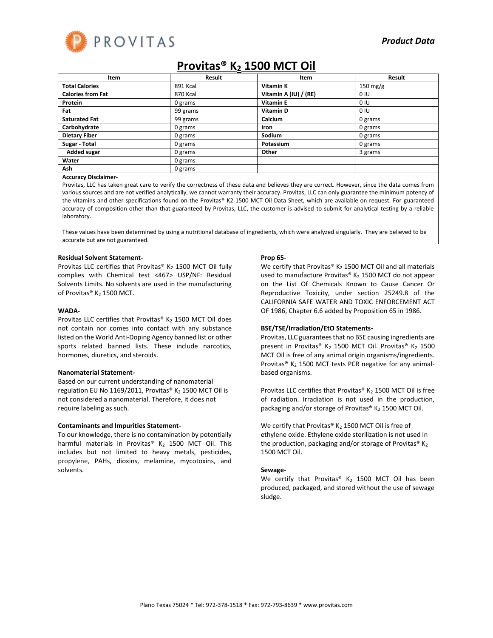

# **Provitas® K<sup>2</sup> 1500 MCT Oil**

| Item                     | Result   | Item                  | Result   |
|--------------------------|----------|-----------------------|----------|
| <b>Total Calories</b>    | 891 Kcal | Vitamin K             | 150 mg/g |
| <b>Calories from Fat</b> | 870 Kcal | Vitamin A (IU) / (RE) | 0 IU     |
| Protein                  | 0 grams  | Vitamin E             | 0 IU     |
| Fat                      | 99 grams | Vitamin D             | 0 IU     |
| <b>Saturated Fat</b>     | 99 grams | Calcium               | 0 grams  |
| Carbohydrate             | 0 grams  | Iron                  | 0 grams  |
| <b>Dietary Fiber</b>     | 0 grams  | Sodium                | 0 grams  |
| Sugar - Total            | 0 grams  | Potassium             | 0 grams  |
| <b>Added sugar</b>       | 0 grams  | Other                 | 3 grams  |
| Water                    | 0 grams  |                       |          |
| Ash                      | 0 grams  |                       |          |

#### **Accuracy Disclaimer-**

Provitas, LLC has taken great care to verify the correctness of these data and believes they are correct. However, since the data comes from various sources and are not verified analytically, we cannot warranty their accuracy. Provitas, LLC can only guarantee the minimum potency of the vitamins and other specifications found on the Provitas® K2 1500 MCT Oil Data Sheet, which are available on request. For guaranteed accuracy of composition other than that guaranteed by Provitas, LLC, the customer is advised to submit for analytical testing by a reliable laboratory.

These values have been determined by using a nutritional database of ingredients, which were analyzed singularly. They are believed to be accurate but are not guaranteed.

# **Residual Solvent Statement-**

Provitas LLC certifies that Provitas®  $K_2$  1500 MCT Oil fully complies with Chemical test <467> USP/NF: Residual Solvents Limits. No solvents are used in the manufacturing of Provitas® K<sub>2</sub> 1500 MCT.

# **WADA-**

Provitas LLC certifies that Provitas®  $K<sub>2</sub>$  1500 MCT Oil does not contain nor comes into contact with any substance listed on the World Anti-Doping Agency banned list or other sports related banned lists. These include narcotics, hormones, diuretics, and steroids.

# **Nanomaterial Statement-**

Based on our current understanding of nanomaterial regulation EU No 1169/2011, Provitas® K<sub>2</sub> 1500 MCT Oil is not considered a nanomaterial. Therefore, it does not require labeling as such.

# **Contaminants and Impurities Statement-**

To our knowledge, there is no contamination by potentially harmful materials in Provitas®  $K_2$  1500 MCT Oil. This includes but not limited to heavy metals, pesticides, propylene, PAHs, dioxins, melamine, mycotoxins, and solvents.

### **Prop 65-**

We certify that Provitas®  $K_2$  1500 MCT Oil and all materials used to manufacture Provitas®  $K_2$  1500 MCT do not appear on the List Of Chemicals Known to Cause Cancer Or Reproductive Toxicity, under section 25249.8 of the CALIFORNIA SAFE WATER AND TOXIC ENFORCEMENT ACT OF 1986, Chapter 6.6 added by Proposition 65 in 1986.

# **BSE/TSE/Irradiation/EtO Statements-**

Provitas, LLC guarantees that no BSE causing ingredients are present in Provitas® K<sub>2</sub> 1500 MCT Oil. Provitas® K<sub>2</sub> 1500 MCT Oil is free of any animal origin organisms/ingredients. Provitas®  $K<sub>2</sub>$  1500 MCT tests PCR negative for any animalbased organisms.

Provitas LLC certifies that Provitas®  $K<sub>2</sub>$  1500 MCT Oil is free of radiation. Irradiation is not used in the production, packaging and/or storage of Provitas®  $K<sub>2</sub>$  1500 MCT Oil.

We certify that Provitas®  $K_2$  1500 MCT Oil is free of ethylene oxide. Ethylene oxide sterilization is not used in the production, packaging and/or storage of Provitas®  $K_2$ 1500 MCT Oil.

# **Sewage-**

We certify that Provitas®  $K_2$  1500 MCT Oil has been produced, packaged, and stored without the use of sewage sludge.